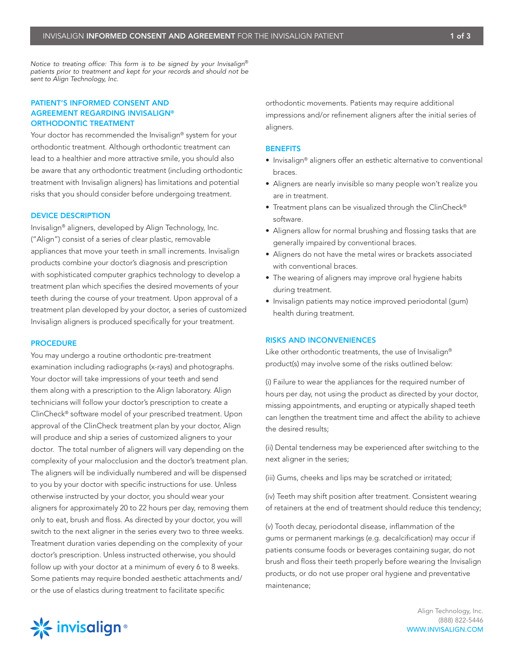*Notice to treating office: This form is to be signed by your Invisalign*® *patients prior to treatment and kept for your records and should not be sent to Align Technology, Inc.*

# PATIENT'S INFORMED CONSENT AND AGREEMENT REGARDING INVISALIGN® ORTHODONTIC TREATMENT

Your doctor has recommended the Invisalign® system for your orthodontic treatment. Although orthodontic treatment can lead to a healthier and more attractive smile, you should also be aware that any orthodontic treatment (including orthodontic treatment with Invisalign aligners) has limitations and potential risks that you should consider before undergoing treatment.

## DEVICE DESCRIPTION

Invisalign® aligners, developed by Align Technology, Inc. ("Align") consist of a series of clear plastic, removable appliances that move your teeth in small increments. Invisalign products combine your doctor's diagnosis and prescription with sophisticated computer graphics technology to develop a treatment plan which specifies the desired movements of your teeth during the course of your treatment. Upon approval of a treatment plan developed by your doctor, a series of customized Invisalign aligners is produced specifically for your treatment.

#### **PROCEDURE**

You may undergo a routine orthodontic pre-treatment examination including radiographs (x-rays) and photographs. Your doctor will take impressions of your teeth and send them along with a prescription to the Align laboratory. Align technicians will follow your doctor's prescription to create a ClinCheck® software model of your prescribed treatment. Upon approval of the ClinCheck treatment plan by your doctor, Align will produce and ship a series of customized aligners to your doctor. The total number of aligners will vary depending on the complexity of your malocclusion and the doctor's treatment plan. The aligners will be individually numbered and will be dispensed to you by your doctor with specific instructions for use. Unless otherwise instructed by your doctor, you should wear your aligners for approximately 20 to 22 hours per day, removing them only to eat, brush and floss. As directed by your doctor, you will switch to the next aligner in the series every two to three weeks. Treatment duration varies depending on the complexity of your doctor's prescription. Unless instructed otherwise, you should follow up with your doctor at a minimum of every 6 to 8 weeks. Some patients may require bonded aesthetic attachments and/ or the use of elastics during treatment to facilitate specific

orthodontic movements. Patients may require additional impressions and/or refinement aligners after the initial series of aligners.

#### **BENEFITS**

- Invisalign® aligners offer an esthetic alternative to conventional braces.
- Aligners are nearly invisible so many people won't realize you are in treatment.
- Treatment plans can be visualized through the ClinCheck® software.
- Aligners allow for normal brushing and flossing tasks that are generally impaired by conventional braces.
- Aligners do not have the metal wires or brackets associated with conventional braces.
- The wearing of aligners may improve oral hygiene habits during treatment.
- Invisalign patients may notice improved periodontal (gum) health during treatment.

### RISKS AND INCONVENIENCES

Like other orthodontic treatments, the use of Invisalign® product(s) may involve some of the risks outlined below:

(i) Failure to wear the appliances for the required number of hours per day, not using the product as directed by your doctor, missing appointments, and erupting or atypically shaped teeth can lengthen the treatment time and affect the ability to achieve the desired results;

(ii) Dental tenderness may be experienced after switching to the next aligner in the series;

(iii) Gums, cheeks and lips may be scratched or irritated;

(iv) Teeth may shift position after treatment. Consistent wearing of retainers at the end of treatment should reduce this tendency;

(v) Tooth decay, periodontal disease, inflammation of the gums or permanent markings (e.g. decalcification) may occur if patients consume foods or beverages containing sugar, do not brush and floss their teeth properly before wearing the Invisalign products, or do not use proper oral hygiene and preventative maintenance;

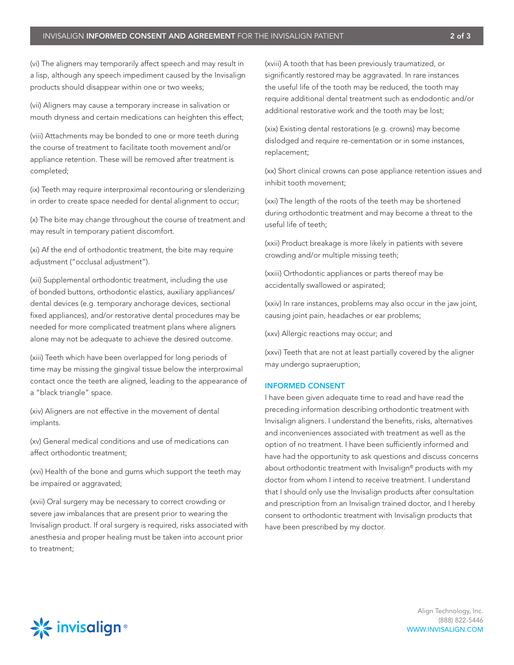(vi) The aligners may temporarily affect speech and may result in a lisp, although any speech impediment caused by the Invisalign products should disappear within one or two weeks;

(vii) Aligners may cause a temporary increase in salivation or mouth dryness and certain medications can heighten this effect;

(viii) Attachments may be bonded to one or more teeth during the course of treatment to facilitate tooth movement and/or appliance retention. These will be removed after treatment is completed;

(ix) Teeth may require interproximal recontouring or slenderizing in order to create space needed for dental alignment to occur;

(x) The bite may change throughout the course of treatment and may result in temporary patient discomfort.

(xi) Af the end of orthodontic treatment, the bite may require adjustment ("occlusal adjustment").

(xii) Supplemental orthodontic treatment, including the use of bonded buttons, orthodontic elastics, auxiliary appliances/ dental devices (e.g. temporary anchorage devices, sectional fixed appliances), and/or restorative dental procedures may be needed for more complicated treatment plans where aligners alone may not be adequate to achieve the desired outcome.

(xiii) Teeth which have been overlapped for long periods of time may be missing the gingival tissue below the interproximal contact once the teeth are aligned, leading to the appearance of a "black triangle" space.

(xiv) Aligners are not effective in the movement of dental implants.

(xv) General medical conditions and use of medications can affect orthodontic treatment;

(xvi) Health of the bone and gums which support the teeth may be impaired or aggravated;

(xvii) Oral surgery may be necessary to correct crowding or severe jaw imbalances that are present prior to wearing the Invisalign product. If oral surgery is required, risks associated with anesthesia and proper healing must be taken into account prior to treatment;

(xviii) A tooth that has been previously traumatized, or significantly restored may be aggravated. In rare instances the useful life of the tooth may be reduced, the tooth may require additional dental treatment such as endodontic and/or additional restorative work and the tooth may be lost;

(xix) Existing dental restorations (e.g. crowns) may become dislodged and require re-cementation or in some instances, replacement;

(xx) Short clinical crowns can pose appliance retention issues and inhibit tooth movement;

(xxi) The length of the roots of the teeth may be shortened during orthodontic treatment and may become a threat to the useful life of teeth;

(xxii) Product breakage is more likely in patients with severe crowding and/or multiple missing teeth;

(xxiii) Orthodontic appliances or parts thereof may be accidentally swallowed or aspirated;

(xxiv) In rare instances, problems may also occur in the jaw joint, causing joint pain, headaches or ear problems;

(xxv) Allergic reactions may occur; and

(xxvi) Teeth that are not at least partially covered by the aligner may undergo supraeruption;

## INFORMED CONSENT

I have been given adequate time to read and have read the preceding information describing orthodontic treatment with Invisalign aligners. I understand the benefits, risks, alternatives and inconveniences associated with treatment as well as the option of no treatment. I have been sufficiently informed and have had the opportunity to ask questions and discuss concerns about orthodontic treatment with Invisalign® products with my doctor from whom I intend to receive treatment. I understand that I should only use the Invisalign products after consultation and prescription from an Invisalign trained doctor, and I hereby consent to orthodontic treatment with Invisalign products that have been prescribed by my doctor.